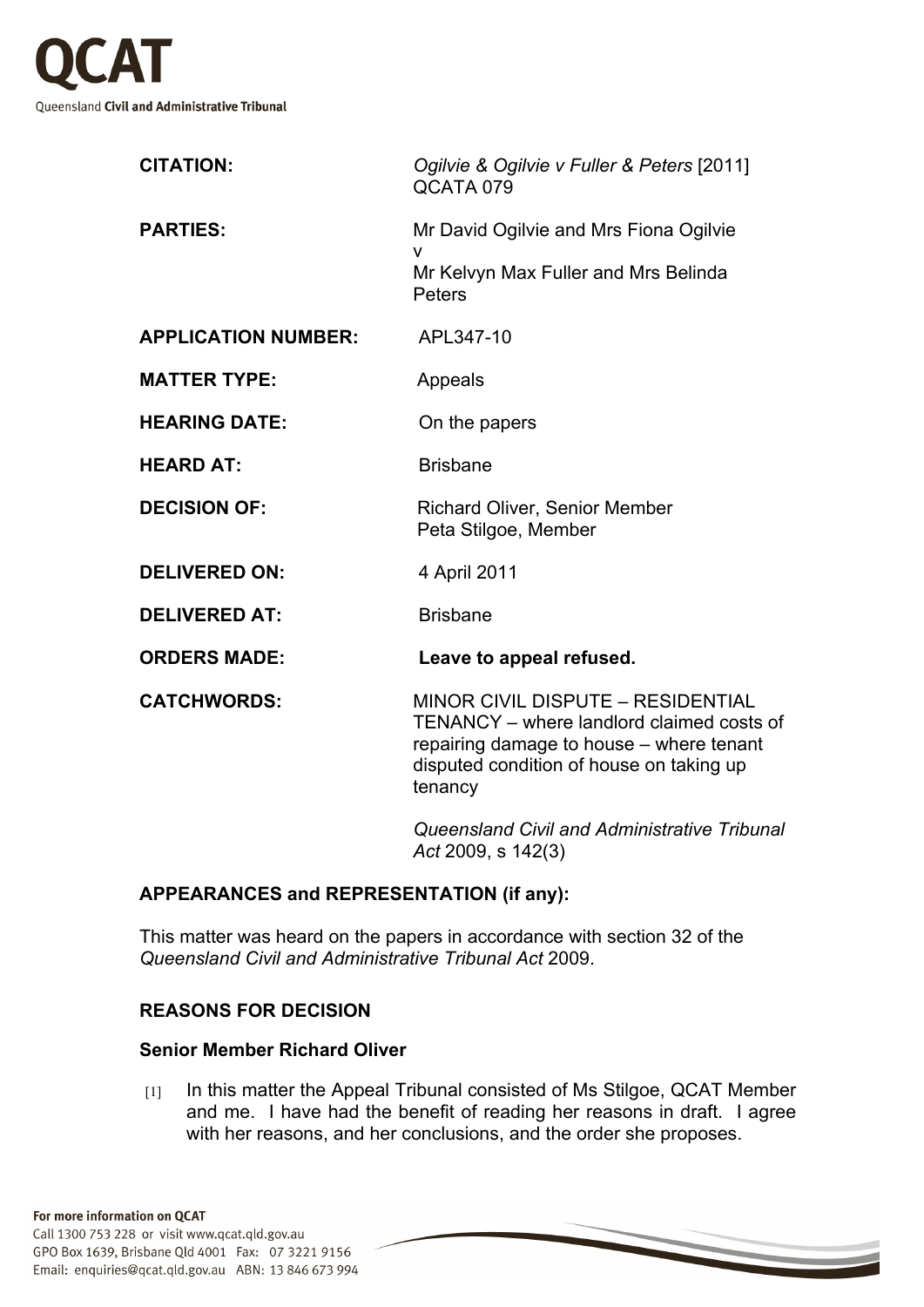

| <b>CITATION:</b>           | Ogilvie & Ogilvie v Fuller & Peters [2011]<br>QCATA 079                                                                                                                                  |
|----------------------------|------------------------------------------------------------------------------------------------------------------------------------------------------------------------------------------|
| <b>PARTIES:</b>            | Mr David Ogilvie and Mrs Fiona Ogilvie<br>v                                                                                                                                              |
|                            | Mr Kelvyn Max Fuller and Mrs Belinda<br>Peters                                                                                                                                           |
| <b>APPLICATION NUMBER:</b> | APL347-10                                                                                                                                                                                |
| <b>MATTER TYPE:</b>        | Appeals                                                                                                                                                                                  |
| <b>HEARING DATE:</b>       | On the papers                                                                                                                                                                            |
| <b>HEARD AT:</b>           | <b>Brisbane</b>                                                                                                                                                                          |
| <b>DECISION OF:</b>        | <b>Richard Oliver, Senior Member</b><br>Peta Stilgoe, Member                                                                                                                             |
| <b>DELIVERED ON:</b>       | 4 April 2011                                                                                                                                                                             |
| <b>DELIVERED AT:</b>       | <b>Brisbane</b>                                                                                                                                                                          |
| <b>ORDERS MADE:</b>        | Leave to appeal refused.                                                                                                                                                                 |
| <b>CATCHWORDS:</b>         | <b>MINOR CIVIL DISPUTE - RESIDENTIAL</b><br>TENANCY - where landlord claimed costs of<br>repairing damage to house - where tenant<br>disputed condition of house on taking up<br>tenancy |
|                            | Queensland Civil and Administrative Tribunal<br>Act 2009, s 142(3)                                                                                                                       |

## **APPEARANCES and REPRESENTATION (if any):**

This matter was heard on the papers in accordance with section 32 of the *Queensland Civil and Administrative Tribunal Act* 2009.

## **REASONS FOR DECISION**

## **Senior Member Richard Oliver**

[1] In this matter the Appeal Tribunal consisted of Ms Stilgoe, QCAT Member and me. I have had the benefit of reading her reasons in draft. I agree with her reasons, and her conclusions, and the order she proposes.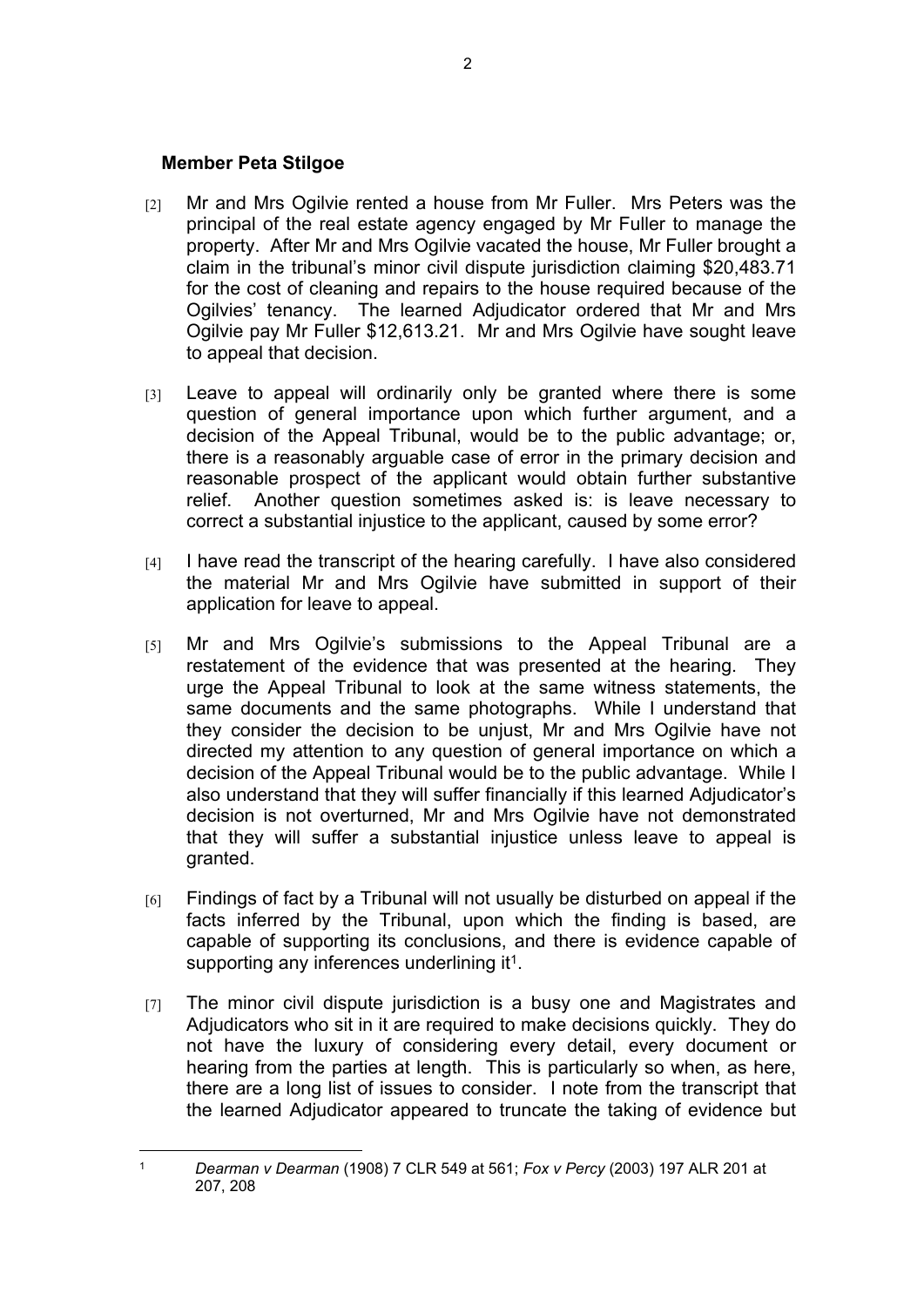## **Member Peta Stilgoe**

- [2] Mr and Mrs Ogilvie rented a house from Mr Fuller. Mrs Peters was the principal of the real estate agency engaged by Mr Fuller to manage the property. After Mr and Mrs Ogilvie vacated the house, Mr Fuller brought a claim in the tribunal's minor civil dispute jurisdiction claiming \$20,483.71 for the cost of cleaning and repairs to the house required because of the Ogilvies' tenancy. The learned Adjudicator ordered that Mr and Mrs Ogilvie pay Mr Fuller \$12,613.21. Mr and Mrs Ogilvie have sought leave to appeal that decision.
- [3] Leave to appeal will ordinarily only be granted where there is some question of general importance upon which further argument, and a decision of the Appeal Tribunal, would be to the public advantage; or, there is a reasonably arguable case of error in the primary decision and reasonable prospect of the applicant would obtain further substantive relief. Another question sometimes asked is: is leave necessary to correct a substantial injustice to the applicant, caused by some error?
- [4] I have read the transcript of the hearing carefully. I have also considered the material Mr and Mrs Ogilvie have submitted in support of their application for leave to appeal.
- [5] Mr and Mrs Ogilvie's submissions to the Appeal Tribunal are a restatement of the evidence that was presented at the hearing. They urge the Appeal Tribunal to look at the same witness statements, the same documents and the same photographs. While I understand that they consider the decision to be unjust, Mr and Mrs Ogilvie have not directed my attention to any question of general importance on which a decision of the Appeal Tribunal would be to the public advantage. While I also understand that they will suffer financially if this learned Adjudicator's decision is not overturned, Mr and Mrs Ogilvie have not demonstrated that they will suffer a substantial injustice unless leave to appeal is granted.
- [6] Findings of fact by a Tribunal will not usually be disturbed on appeal if the facts inferred by the Tribunal, upon which the finding is based, are capable of supporting its conclusions, and there is evidence capable of supporting any inferences underlining it<sup>1</sup>.
- [7] The minor civil dispute jurisdiction is a busy one and Magistrates and Adjudicators who sit in it are required to make decisions quickly. They do not have the luxury of considering every detail, every document or hearing from the parties at length. This is particularly so when, as here, there are a long list of issues to consider. I note from the transcript that the learned Adjudicator appeared to truncate the taking of evidence but

<sup>1</sup> *Dearman v Dearman* (1908) 7 CLR 549 at 561; *Fox v Percy* (2003) 197 ALR 201 at 207, 208